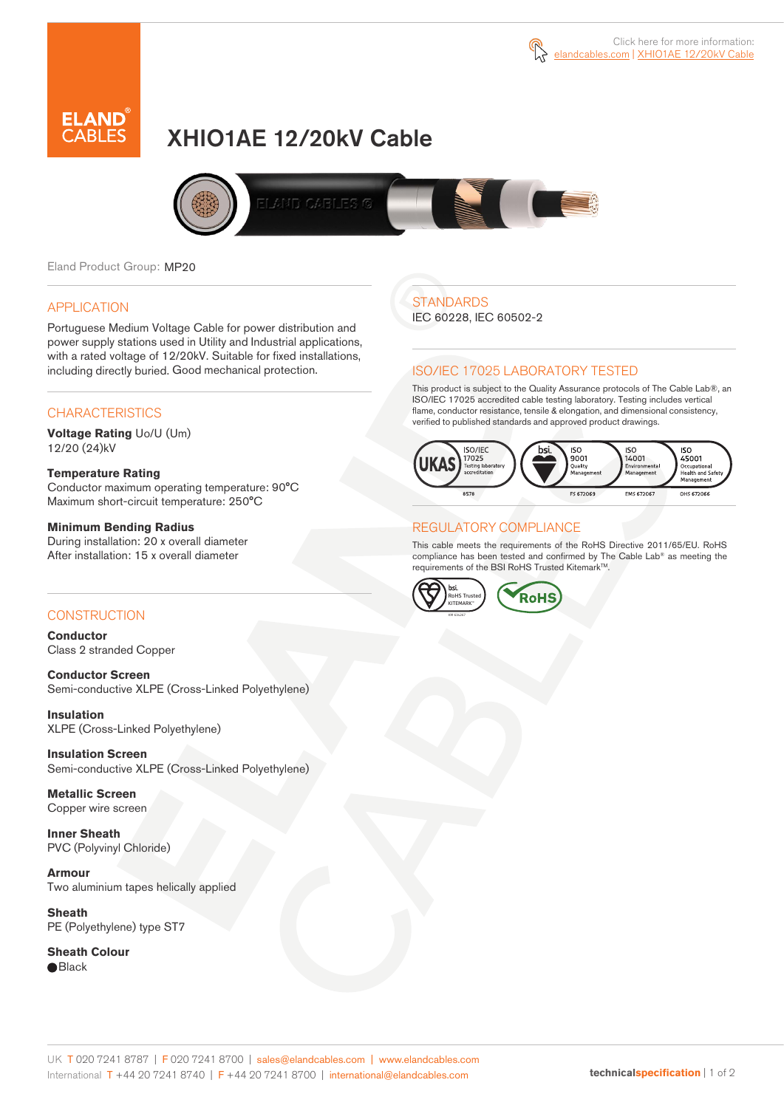



# XHIO1AE 12/20kV Cable



Eland Product Group: MP20

### APPLICATION

Portuguese Medium Voltage Cable for power distribution and power supply stations used in Utility and Industrial applications, with a rated voltage of 12/20kV. Suitable for fixed installations, including directly buried. Good mechanical protection.

### **CHARACTERISTICS**

**Voltage Rating** Uo/U (Um) 12/20 (24)kV

### **Temperature Rating**

Conductor maximum operating temperature: 90°C Maximum short-circuit temperature: 250°C

### **Minimum Bending Radius**

During installation: 20 x overall diameter After installation: 15 x overall diameter

### CONSTRUCTION

**Conductor**  Class 2 stranded Copper

**Conductor Screen** Semi-conductive XLPE (Cross-Linked Polyethylene)

**Insulation** XLPE (Cross-Linked Polyethylene)

**Insulation Screen** Semi-conductive XLPE (Cross-Linked Polyethylene)

**Metallic Screen**  Copper wire screen

**Inner Sheath** PVC (Polyvinyl Chloride)

**Armour** Two aluminium tapes helically applied

**Sheath** PE (Polyethylene) type ST7

**Sheath Colour**  ● Black

## **STANDARDS**

IEC 60228, IEC 60502-2

### ISO/IEC 17025 LABORATORY TESTED

This product is subject to the Quality Assurance protocols of The Cable Lab®, an ISO/IEC 17025 accredited cable testing laboratory. Testing includes vertical flame, conductor resistance, tensile & elongation, and dimensional consistency, verified to published standards and approved product drawings.



### REGULATORY COMPLIANCE

This cable meets the requirements of the RoHS Directive 2011/65/EU. RoHS compliance has been tested and confirmed by The Cable Lab® as meeting the requirements of the BSI RoHS Trusted KitemarkTM.